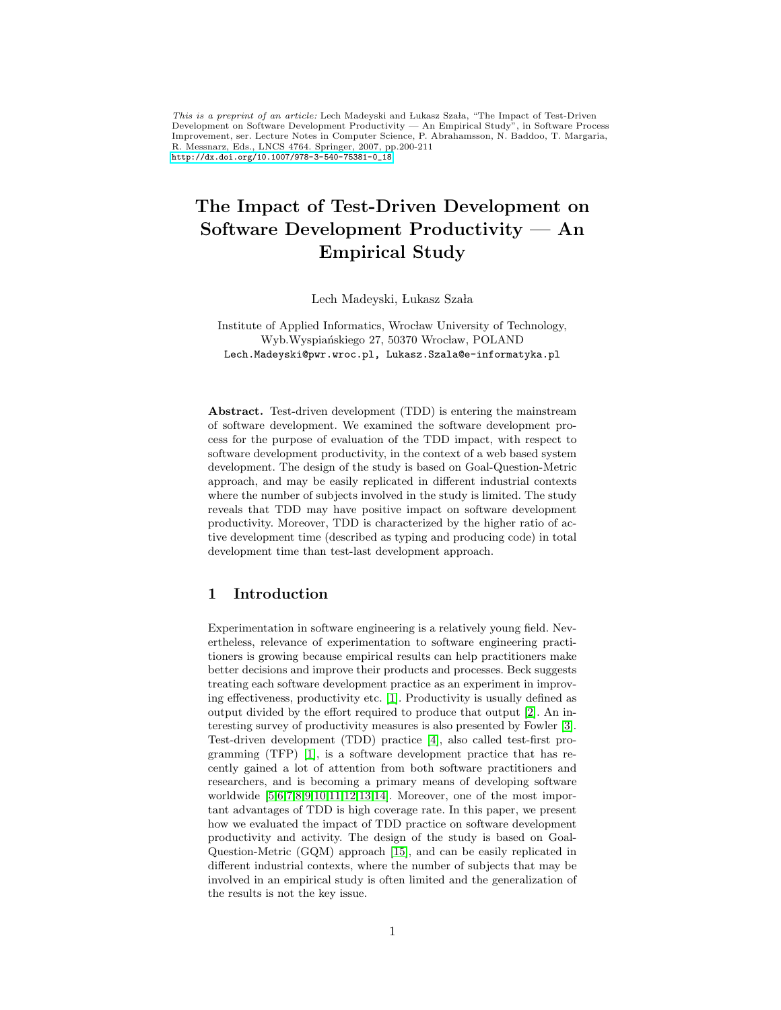This is a preprint of an article: Lech Madeyski and Lukasz Szała, "The Impact of Test-Driven Development on Software Development Productivity — An Empirical Study", in Software Process Improvement, ser. Lecture Notes in Computer Science, P. Abrahamsson, N. Baddoo, T. Margaria, R. Messnarz, Eds., LNCS 4764. Springer, 2007, pp.200-211 [http://dx.doi.org/10.1007/978-3-540-75381-0\\_18](http://dx.doi.org/10.1007/978-3-540-75381-0_18)

# The Impact of Test-Driven Development on Software Development Productivity — An Empirical Study

Lech Madeyski, Lukasz Szała

Institute of Applied Informatics, Wrocław University of Technology, Wyb.Wyspiańskiego 27, 50370 Wrocław, POLAND Lech.Madeyski@pwr.wroc.pl, Lukasz.Szala@e-informatyka.pl

Abstract. Test-driven development (TDD) is entering the mainstream of software development. We examined the software development process for the purpose of evaluation of the TDD impact, with respect to software development productivity, in the context of a web based system development. The design of the study is based on Goal-Question-Metric approach, and may be easily replicated in different industrial contexts where the number of subjects involved in the study is limited. The study reveals that TDD may have positive impact on software development productivity. Moreover, TDD is characterized by the higher ratio of active development time (described as typing and producing code) in total development time than test-last development approach.

# 1 Introduction

Experimentation in software engineering is a relatively young field. Nevertheless, relevance of experimentation to software engineering practitioners is growing because empirical results can help practitioners make better decisions and improve their products and processes. Beck suggests treating each software development practice as an experiment in improving effectiveness, productivity etc. [\[1\]](#page-10-0). Productivity is usually defined as output divided by the effort required to produce that output [\[2\]](#page-10-1). An interesting survey of productivity measures is also presented by Fowler [\[3\]](#page-10-2). Test-driven development (TDD) practice [\[4\]](#page-10-3), also called test-first programming (TFP) [\[1\]](#page-10-0), is a software development practice that has recently gained a lot of attention from both software practitioners and researchers, and is becoming a primary means of developing software worldwide [\[5,](#page-10-4)[6,](#page-10-5)[7](#page-10-6)[,8,](#page-10-7)[9,](#page-10-8)[10](#page-11-0)[,11](#page-11-1)[,12,](#page-11-2)[13](#page-11-3)[,14\]](#page-11-4). Moreover, one of the most important advantages of TDD is high coverage rate. In this paper, we present how we evaluated the impact of TDD practice on software development productivity and activity. The design of the study is based on Goal-Question-Metric (GQM) approach [\[15\]](#page-11-5), and can be easily replicated in different industrial contexts, where the number of subjects that may be involved in an empirical study is often limited and the generalization of the results is not the key issue.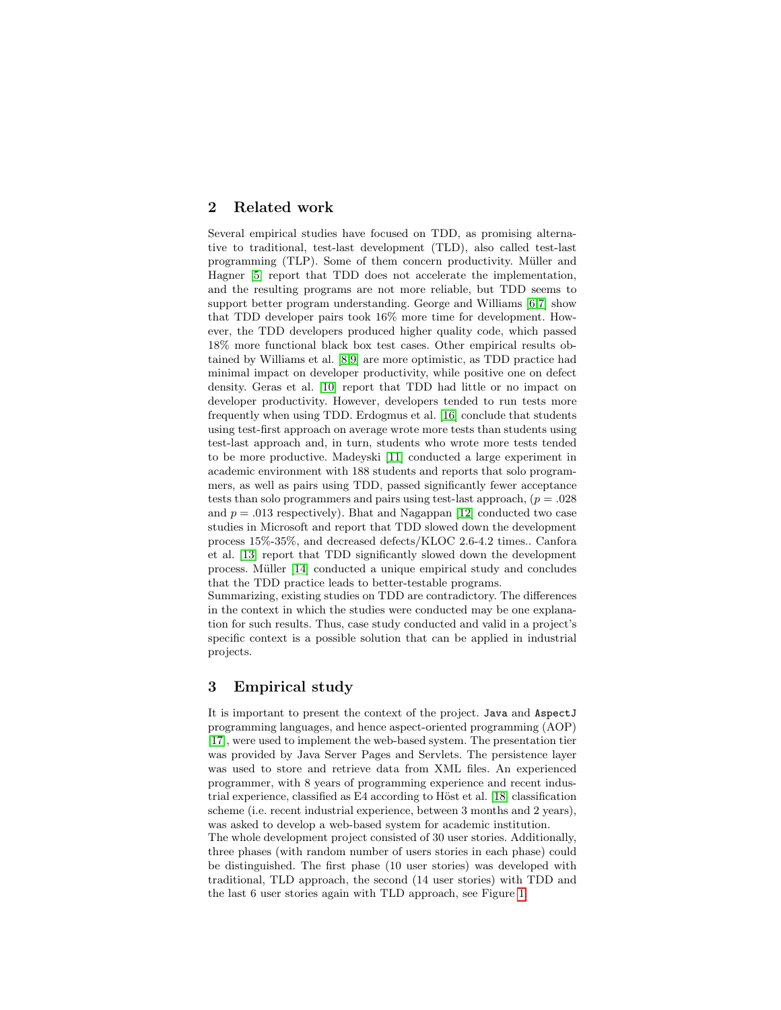# 2 Related work

Several empirical studies have focused on TDD, as promising alternative to traditional, test-last development (TLD), also called test-last programming (TLP). Some of them concern productivity. Müller and Hagner [\[5\]](#page-10-4) report that TDD does not accelerate the implementation, and the resulting programs are not more reliable, but TDD seems to support better program understanding. George and Williams [\[6,](#page-10-5)[7\]](#page-10-6) show that TDD developer pairs took 16% more time for development. However, the TDD developers produced higher quality code, which passed 18% more functional black box test cases. Other empirical results obtained by Williams et al. [\[8](#page-10-7)[,9\]](#page-10-8) are more optimistic, as TDD practice had minimal impact on developer productivity, while positive one on defect density. Geras et al. [\[10\]](#page-11-0) report that TDD had little or no impact on developer productivity. However, developers tended to run tests more frequently when using TDD. Erdogmus et al. [\[16\]](#page-11-6) conclude that students using test-first approach on average wrote more tests than students using test-last approach and, in turn, students who wrote more tests tended to be more productive. Madeyski [\[11\]](#page-11-1) conducted a large experiment in academic environment with 188 students and reports that solo programmers, as well as pairs using TDD, passed significantly fewer acceptance tests than solo programmers and pairs using test-last approach,  $(p=.028)$ and  $p = .013$  respectively). Bhat and Nagappan [\[12\]](#page-11-2) conducted two case studies in Microsoft and report that TDD slowed down the development process 15%-35%, and decreased defects/KLOC 2.6-4.2 times.. Canfora et al. [\[13\]](#page-11-3) report that TDD significantly slowed down the development process. Müller [\[14\]](#page-11-4) conducted a unique empirical study and concludes that the TDD practice leads to better-testable programs.

Summarizing, existing studies on TDD are contradictory. The differences in the context in which the studies were conducted may be one explanation for such results. Thus, case study conducted and valid in a project's specific context is a possible solution that can be applied in industrial projects.

# 3 Empirical study

It is important to present the context of the project. Java and AspectJ programming languages, and hence aspect-oriented programming (AOP) [\[17\]](#page-11-7), were used to implement the web-based system. The presentation tier was provided by Java Server Pages and Servlets. The persistence layer was used to store and retrieve data from XML files. An experienced programmer, with 8 years of programming experience and recent industrial experience, classified as  $E4$  according to Höst et al. [\[18\]](#page-11-8) classification scheme (i.e. recent industrial experience, between 3 months and 2 years), was asked to develop a web-based system for academic institution.

The whole development project consisted of 30 user stories. Additionally, three phases (with random number of users stories in each phase) could be distinguished. The first phase (10 user stories) was developed with traditional, TLD approach, the second (14 user stories) with TDD and the last 6 user stories again with TLD approach, see Figure [1.](#page-2-0)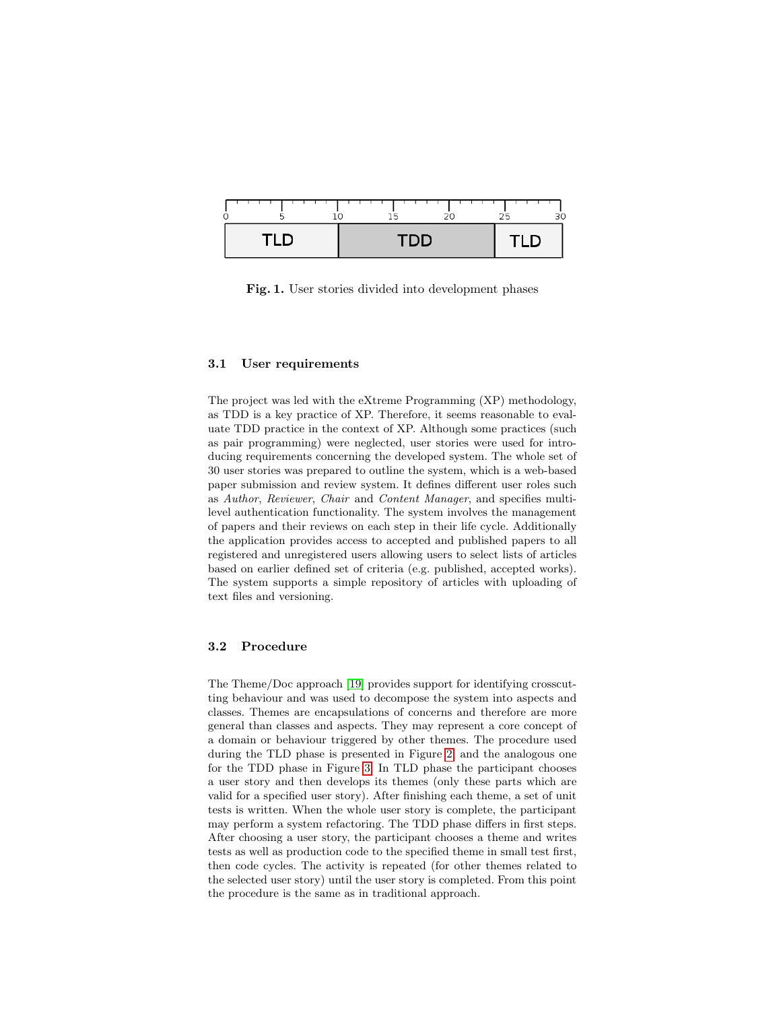|      |     | 25.  |
|------|-----|------|
| ח וד | חחד | ח וד |

<span id="page-2-0"></span>Fig. 1. User stories divided into development phases

## 3.1 User requirements

The project was led with the eXtreme Programming (XP) methodology, as TDD is a key practice of XP. Therefore, it seems reasonable to evaluate TDD practice in the context of XP. Although some practices (such as pair programming) were neglected, user stories were used for introducing requirements concerning the developed system. The whole set of 30 user stories was prepared to outline the system, which is a web-based paper submission and review system. It defines different user roles such as Author, Reviewer, Chair and Content Manager, and specifies multilevel authentication functionality. The system involves the management of papers and their reviews on each step in their life cycle. Additionally the application provides access to accepted and published papers to all registered and unregistered users allowing users to select lists of articles based on earlier defined set of criteria (e.g. published, accepted works). The system supports a simple repository of articles with uploading of text files and versioning.

## 3.2 Procedure

The Theme/Doc approach [\[19\]](#page-11-9) provides support for identifying crosscutting behaviour and was used to decompose the system into aspects and classes. Themes are encapsulations of concerns and therefore are more general than classes and aspects. They may represent a core concept of a domain or behaviour triggered by other themes. The procedure used during the TLD phase is presented in Figure [2,](#page-3-0) and the analogous one for the TDD phase in Figure [3.](#page-4-0) In TLD phase the participant chooses a user story and then develops its themes (only these parts which are valid for a specified user story). After finishing each theme, a set of unit tests is written. When the whole user story is complete, the participant may perform a system refactoring. The TDD phase differs in first steps. After choosing a user story, the participant chooses a theme and writes tests as well as production code to the specified theme in small test first, then code cycles. The activity is repeated (for other themes related to the selected user story) until the user story is completed. From this point the procedure is the same as in traditional approach.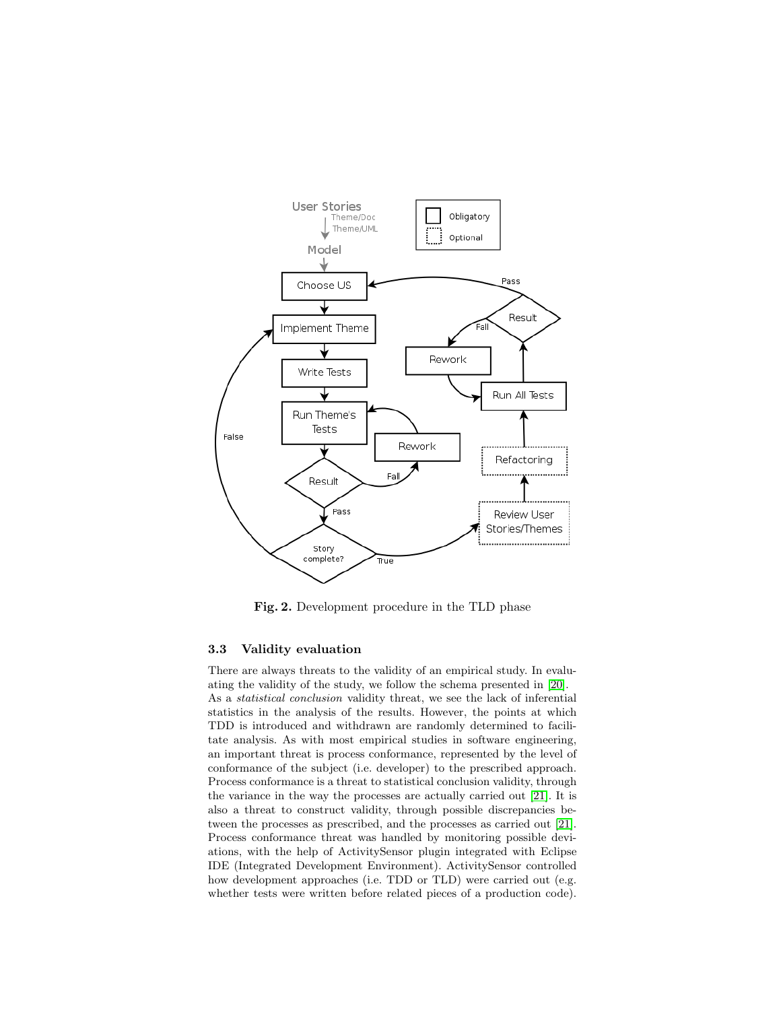

<span id="page-3-0"></span>Fig. 2. Development procedure in the TLD phase

#### 3.3 Validity evaluation

There are always threats to the validity of an empirical study. In evaluating the validity of the study, we follow the schema presented in [\[20\]](#page-11-10). As a statistical conclusion validity threat, we see the lack of inferential statistics in the analysis of the results. However, the points at which TDD is introduced and withdrawn are randomly determined to facilitate analysis. As with most empirical studies in software engineering, an important threat is process conformance, represented by the level of conformance of the subject (i.e. developer) to the prescribed approach. Process conformance is a threat to statistical conclusion validity, through the variance in the way the processes are actually carried out [\[21\]](#page-11-11). It is also a threat to construct validity, through possible discrepancies between the processes as prescribed, and the processes as carried out [\[21\]](#page-11-11). Process conformance threat was handled by monitoring possible deviations, with the help of ActivitySensor plugin integrated with Eclipse IDE (Integrated Development Environment). ActivitySensor controlled how development approaches (i.e. TDD or TLD) were carried out (e.g. whether tests were written before related pieces of a production code).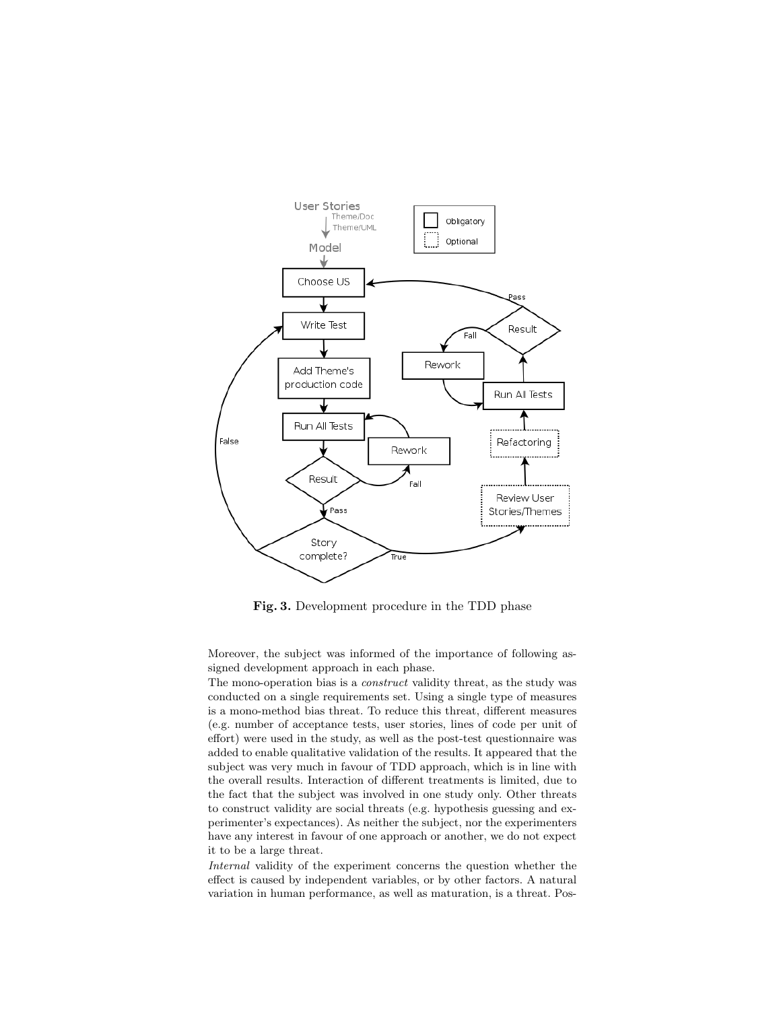

<span id="page-4-0"></span>Fig. 3. Development procedure in the TDD phase

Moreover, the subject was informed of the importance of following assigned development approach in each phase.

The mono-operation bias is a construct validity threat, as the study was conducted on a single requirements set. Using a single type of measures is a mono-method bias threat. To reduce this threat, different measures (e.g. number of acceptance tests, user stories, lines of code per unit of effort) were used in the study, as well as the post-test questionnaire was added to enable qualitative validation of the results. It appeared that the subject was very much in favour of TDD approach, which is in line with the overall results. Interaction of different treatments is limited, due to the fact that the subject was involved in one study only. Other threats to construct validity are social threats (e.g. hypothesis guessing and experimenter's expectances). As neither the subject, nor the experimenters have any interest in favour of one approach or another, we do not expect it to be a large threat.

Internal validity of the experiment concerns the question whether the effect is caused by independent variables, or by other factors. A natural variation in human performance, as well as maturation, is a threat. Pos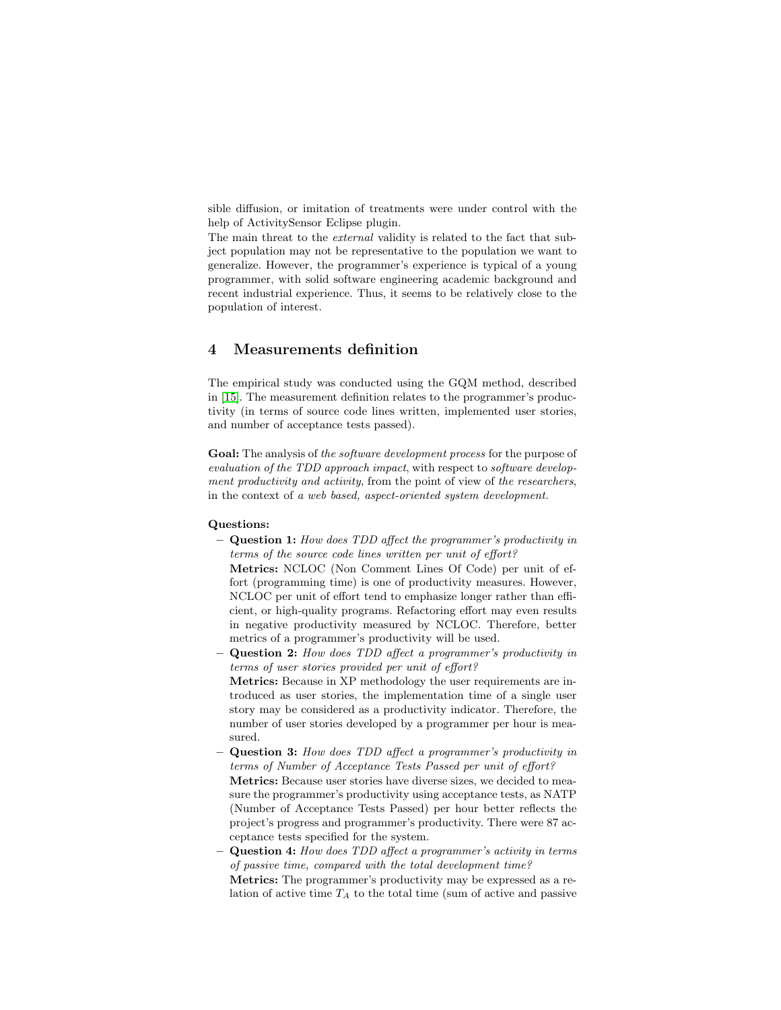sible diffusion, or imitation of treatments were under control with the help of ActivitySensor Eclipse plugin.

The main threat to the *external* validity is related to the fact that subject population may not be representative to the population we want to generalize. However, the programmer's experience is typical of a young programmer, with solid software engineering academic background and recent industrial experience. Thus, it seems to be relatively close to the population of interest.

# 4 Measurements definition

The empirical study was conducted using the GQM method, described in [\[15\]](#page-11-5). The measurement definition relates to the programmer's productivity (in terms of source code lines written, implemented user stories, and number of acceptance tests passed).

Goal: The analysis of the software development process for the purpose of evaluation of the TDD approach impact, with respect to software development productivity and activity, from the point of view of the researchers, in the context of a web based, aspect-oriented system development.

#### Questions:

- Question 1: How does TDD affect the programmer's productivity in terms of the source code lines written per unit of effort? Metrics: NCLOC (Non Comment Lines Of Code) per unit of effort (programming time) is one of productivity measures. However, NCLOC per unit of effort tend to emphasize longer rather than efficient, or high-quality programs. Refactoring effort may even results in negative productivity measured by NCLOC. Therefore, better metrics of a programmer's productivity will be used.
- Question 2: How does TDD affect a programmer's productivity in terms of user stories provided per unit of effort?

Metrics: Because in XP methodology the user requirements are introduced as user stories, the implementation time of a single user story may be considered as a productivity indicator. Therefore, the number of user stories developed by a programmer per hour is measured.

- Question 3: How does TDD affect a programmer's productivity in terms of Number of Acceptance Tests Passed per unit of effort? Metrics: Because user stories have diverse sizes, we decided to measure the programmer's productivity using acceptance tests, as NATP (Number of Acceptance Tests Passed) per hour better reflects the project's progress and programmer's productivity. There were 87 acceptance tests specified for the system.
- Question 4: How does TDD affect a programmer's activity in terms of passive time, compared with the total development time? Metrics: The programmer's productivity may be expressed as a relation of active time  $T_A$  to the total time (sum of active and passive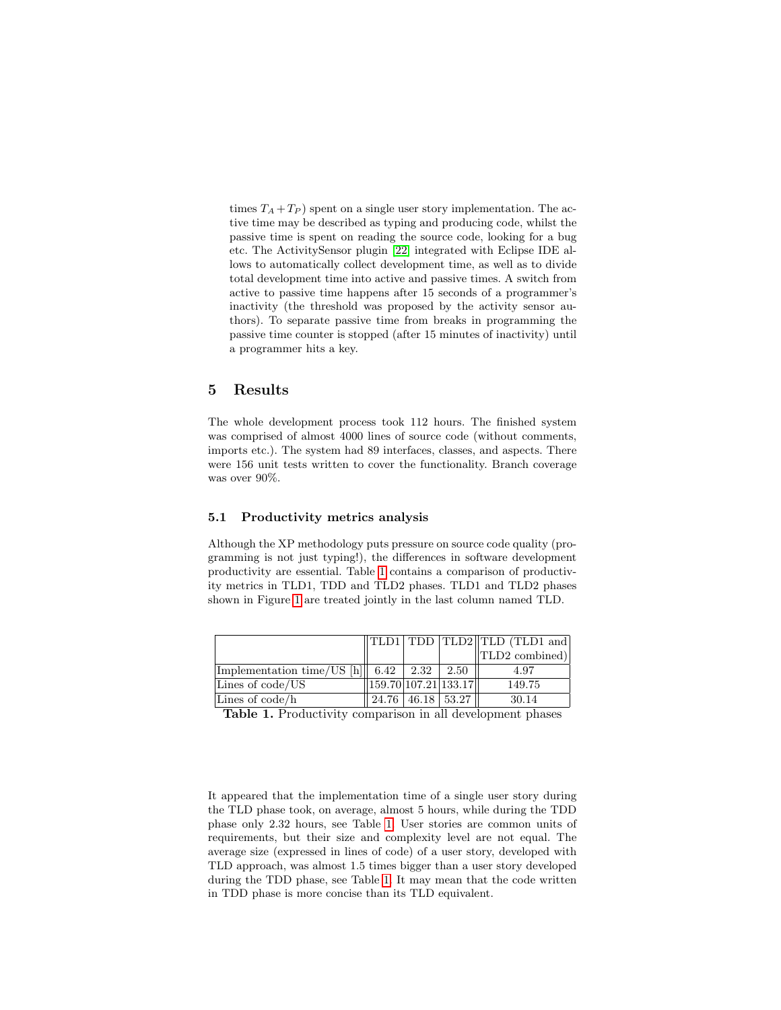times  $T_A + T_P$ ) spent on a single user story implementation. The active time may be described as typing and producing code, whilst the passive time is spent on reading the source code, looking for a bug etc. The ActivitySensor plugin [\[22\]](#page-11-12) integrated with Eclipse IDE allows to automatically collect development time, as well as to divide total development time into active and passive times. A switch from active to passive time happens after 15 seconds of a programmer's inactivity (the threshold was proposed by the activity sensor authors). To separate passive time from breaks in programming the passive time counter is stopped (after 15 minutes of inactivity) until a programmer hits a key.

# 5 Results

The whole development process took 112 hours. The finished system was comprised of almost 4000 lines of source code (without comments, imports etc.). The system had 89 interfaces, classes, and aspects. There were 156 unit tests written to cover the functionality. Branch coverage was over 90%.

## 5.1 Productivity metrics analysis

Although the XP methodology puts pressure on source code quality (programming is not just typing!), the differences in software development productivity are essential. Table [1](#page-6-0) contains a comparison of productivity metrics in TLD1, TDD and TLD2 phases. TLD1 and TLD2 phases shown in Figure [1](#page-2-0) are treated jointly in the last column named TLD.

|                                     |                               |                      | $\boxed{\text{TLD1} \text{TDD} \text{TLD2}}$ $\boxed{\text{TLD}}$ (TLD1 and |
|-------------------------------------|-------------------------------|----------------------|-----------------------------------------------------------------------------|
|                                     |                               |                      | $\left\vert \left\vert \text{TLD2 combined}\right. \right\vert$             |
| Implementation time/US $\ h\ $ 6.42 | $\perp 2.32$                  | 2.50                 | 4.97                                                                        |
| Lines of code/US                    |                               | 159.70 107.21 133.17 | 149.75                                                                      |
| Lines of code/h                     | $24.76 \mid 46.18 \mid 53.27$ |                      | 30.14                                                                       |

<span id="page-6-0"></span>Table 1. Productivity comparison in all development phases

It appeared that the implementation time of a single user story during the TLD phase took, on average, almost 5 hours, while during the TDD phase only 2.32 hours, see Table [1.](#page-6-0) User stories are common units of requirements, but their size and complexity level are not equal. The average size (expressed in lines of code) of a user story, developed with TLD approach, was almost 1.5 times bigger than a user story developed during the TDD phase, see Table [1.](#page-6-0) It may mean that the code written in TDD phase is more concise than its TLD equivalent.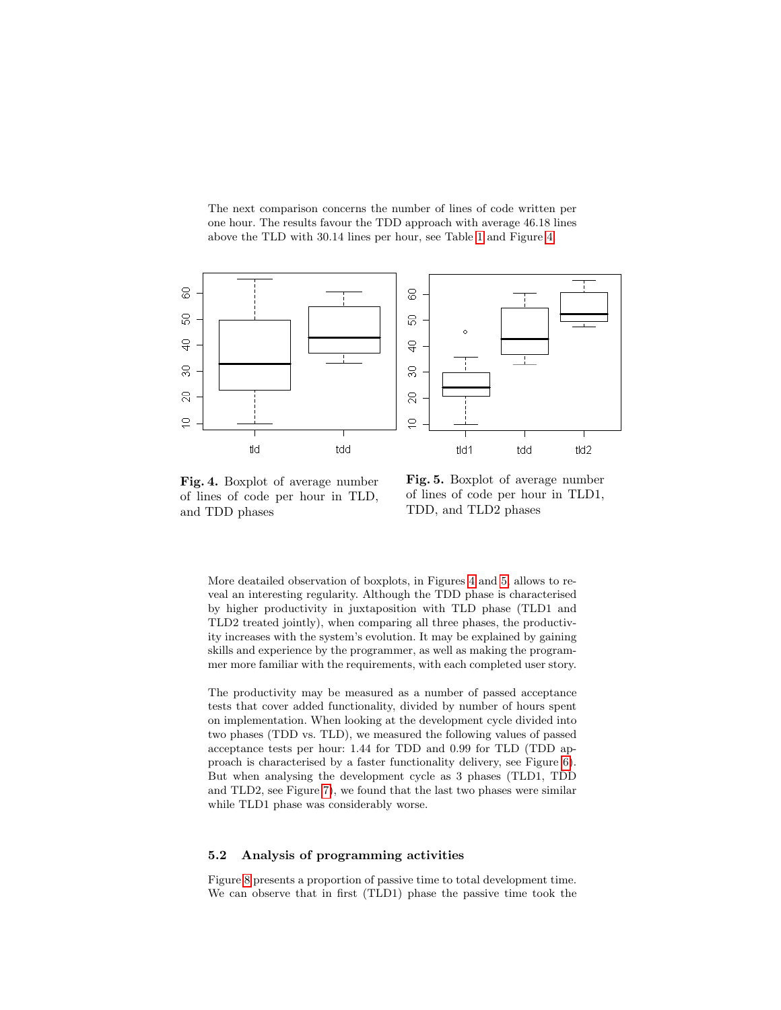The next comparison concerns the number of lines of code written per one hour. The results favour the TDD approach with average 46.18 lines above the TLD with 30.14 lines per hour, see Table [1](#page-6-0) and Figure [4.](#page-7-0)



<span id="page-7-0"></span>Fig. 4. Boxplot of average number of lines of code per hour in TLD, and TDD phases

<span id="page-7-1"></span>Fig. 5. Boxplot of average number of lines of code per hour in TLD1, TDD, and TLD2 phases

More deatailed observation of boxplots, in Figures [4](#page-7-0) and [5,](#page-7-1) allows to reveal an interesting regularity. Although the TDD phase is characterised by higher productivity in juxtaposition with TLD phase (TLD1 and TLD2 treated jointly), when comparing all three phases, the productivity increases with the system's evolution. It may be explained by gaining skills and experience by the programmer, as well as making the programmer more familiar with the requirements, with each completed user story.

The productivity may be measured as a number of passed acceptance tests that cover added functionality, divided by number of hours spent on implementation. When looking at the development cycle divided into two phases (TDD vs. TLD), we measured the following values of passed acceptance tests per hour: 1.44 for TDD and 0.99 for TLD (TDD approach is characterised by a faster functionality delivery, see Figure [6\)](#page-8-0). But when analysing the development cycle as 3 phases (TLD1, TDD and TLD2, see Figure [7\)](#page-8-1), we found that the last two phases were similar while TLD1 phase was considerably worse.

## 5.2 Analysis of programming activities

Figure [8](#page-8-2) presents a proportion of passive time to total development time. We can observe that in first (TLD1) phase the passive time took the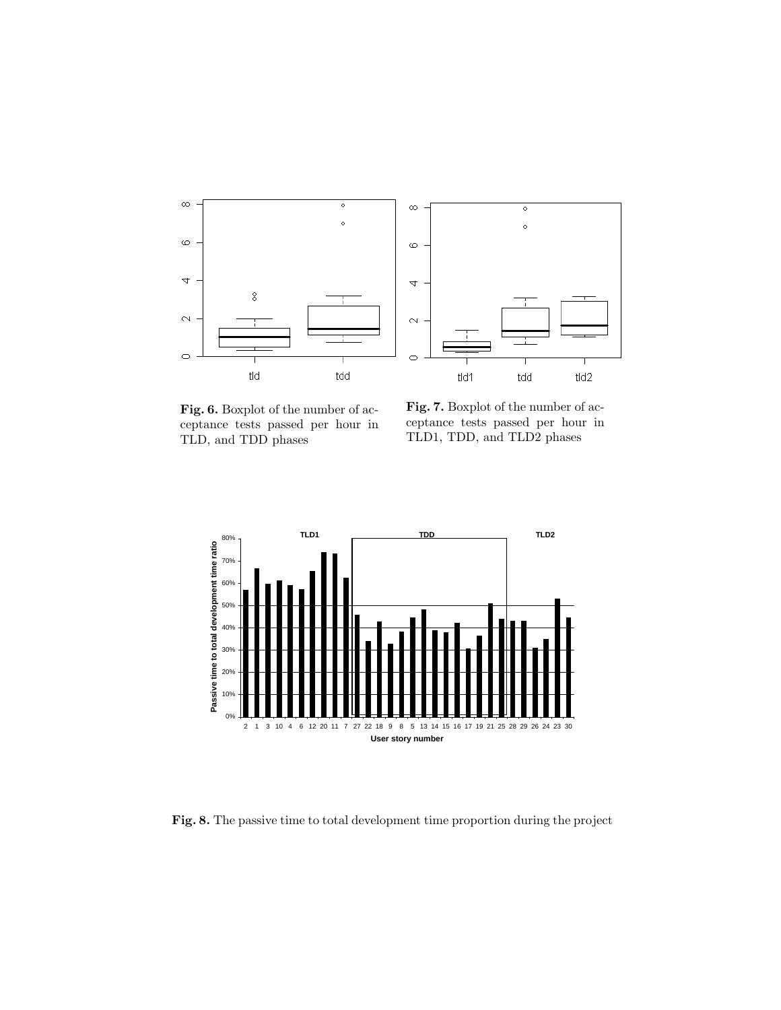



<span id="page-8-0"></span>Fig. 6. Boxplot of the number of acceptance tests passed per hour in TLD, and TDD phases

<span id="page-8-1"></span>Fig. 7. Boxplot of the number of acceptance tests passed per hour in TLD1, TDD, and TLD2 phases



<span id="page-8-2"></span>Fig. 8. The passive time to total development time proportion during the project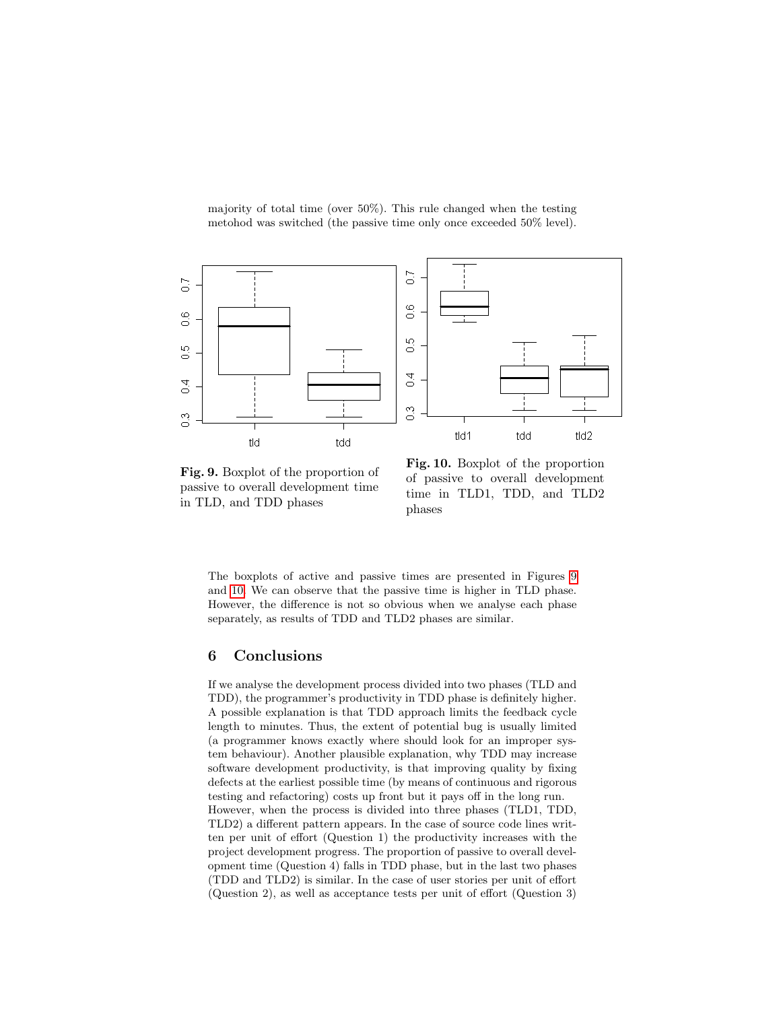

majority of total time (over 50%). This rule changed when the testing metohod was switched (the passive time only once exceeded 50% level).

<span id="page-9-0"></span>Fig. 9. Boxplot of the proportion of passive to overall development time in TLD, and TDD phases

<span id="page-9-1"></span>Fig. 10. Boxplot of the proportion of passive to overall development time in TLD1, TDD, and TLD2 phases

The boxplots of active and passive times are presented in Figures [9](#page-9-0) and [10.](#page-9-1) We can observe that the passive time is higher in TLD phase. However, the difference is not so obvious when we analyse each phase separately, as results of TDD and TLD2 phases are similar.

## 6 Conclusions

If we analyse the development process divided into two phases (TLD and TDD), the programmer's productivity in TDD phase is definitely higher. A possible explanation is that TDD approach limits the feedback cycle length to minutes. Thus, the extent of potential bug is usually limited (a programmer knows exactly where should look for an improper system behaviour). Another plausible explanation, why TDD may increase software development productivity, is that improving quality by fixing defects at the earliest possible time (by means of continuous and rigorous testing and refactoring) costs up front but it pays off in the long run. However, when the process is divided into three phases (TLD1, TDD, TLD2) a different pattern appears. In the case of source code lines written per unit of effort (Question 1) the productivity increases with the project development progress. The proportion of passive to overall development time (Question 4) falls in TDD phase, but in the last two phases (TDD and TLD2) is similar. In the case of user stories per unit of effort (Question 2), as well as acceptance tests per unit of effort (Question 3)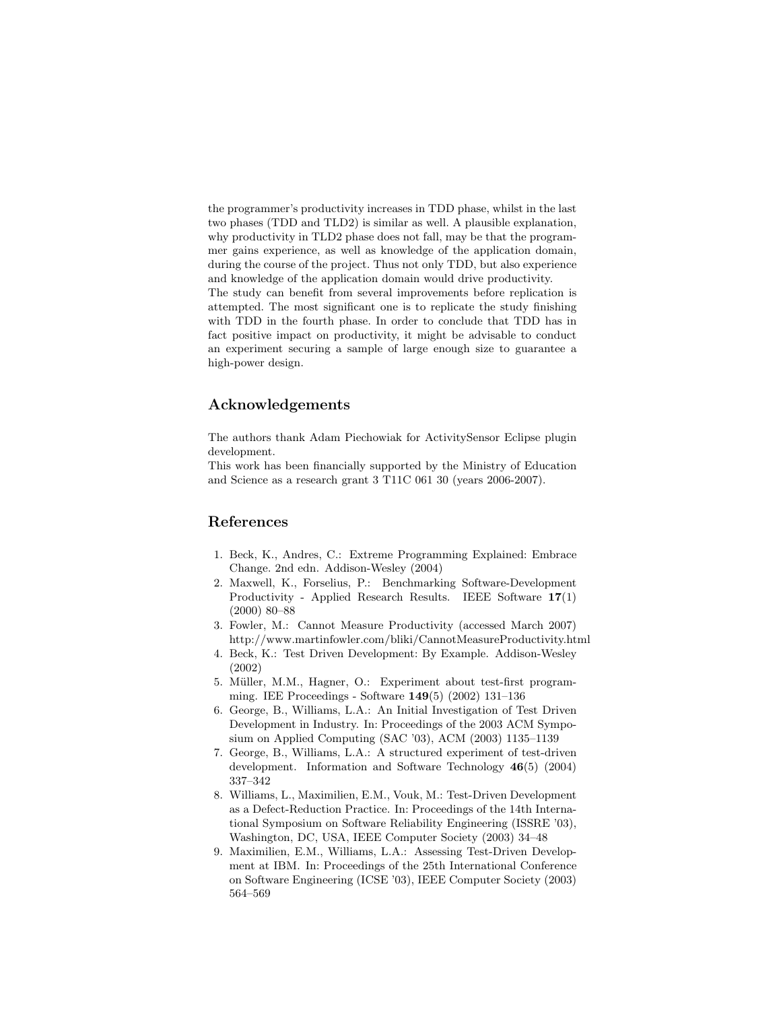the programmer's productivity increases in TDD phase, whilst in the last two phases (TDD and TLD2) is similar as well. A plausible explanation, why productivity in TLD2 phase does not fall, may be that the programmer gains experience, as well as knowledge of the application domain, during the course of the project. Thus not only TDD, but also experience and knowledge of the application domain would drive productivity. The study can benefit from several improvements before replication is attempted. The most significant one is to replicate the study finishing with TDD in the fourth phase. In order to conclude that TDD has in fact positive impact on productivity, it might be advisable to conduct an experiment securing a sample of large enough size to guarantee a high-power design.

## Acknowledgements

The authors thank Adam Piechowiak for ActivitySensor Eclipse plugin development.

This work has been financially supported by the Ministry of Education and Science as a research grant 3 T11C 061 30 (years 2006-2007).

# References

- <span id="page-10-0"></span>1. Beck, K., Andres, C.: Extreme Programming Explained: Embrace Change. 2nd edn. Addison-Wesley (2004)
- <span id="page-10-1"></span>2. Maxwell, K., Forselius, P.: Benchmarking Software-Development Productivity - Applied Research Results. IEEE Software 17(1) (2000) 80–88
- <span id="page-10-2"></span>3. Fowler, M.: Cannot Measure Productivity (accessed March 2007) http://www.martinfowler.com/bliki/CannotMeasureProductivity.html
- <span id="page-10-3"></span>4. Beck, K.: Test Driven Development: By Example. Addison-Wesley (2002)
- <span id="page-10-4"></span>5. Müller, M.M., Hagner, O.: Experiment about test-first programming. IEE Proceedings - Software 149(5) (2002) 131–136
- <span id="page-10-5"></span>6. George, B., Williams, L.A.: An Initial Investigation of Test Driven Development in Industry. In: Proceedings of the 2003 ACM Symposium on Applied Computing (SAC '03), ACM (2003) 1135–1139
- <span id="page-10-6"></span>7. George, B., Williams, L.A.: A structured experiment of test-driven development. Information and Software Technology 46(5) (2004) 337–342
- <span id="page-10-7"></span>8. Williams, L., Maximilien, E.M., Vouk, M.: Test-Driven Development as a Defect-Reduction Practice. In: Proceedings of the 14th International Symposium on Software Reliability Engineering (ISSRE '03), Washington, DC, USA, IEEE Computer Society (2003) 34–48
- <span id="page-10-8"></span>9. Maximilien, E.M., Williams, L.A.: Assessing Test-Driven Development at IBM. In: Proceedings of the 25th International Conference on Software Engineering (ICSE '03), IEEE Computer Society (2003) 564–569